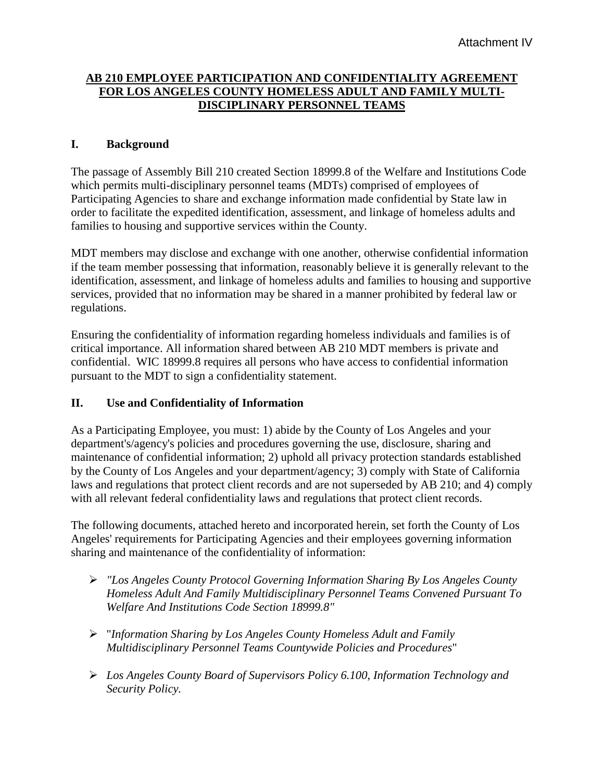## **AB 210 EMPLOYEE PARTICIPATION AND CONFIDENTIALITY AGREEMENT FOR LOS ANGELES COUNTY HOMELESS ADULT AND FAMILY MULTI-DISCIPLINARY PERSONNEL TEAMS**

## **I. Background**

The passage of Assembly Bill 210 created Section 18999.8 of the Welfare and Institutions Code which permits multi-disciplinary personnel teams (MDTs) comprised of employees of Participating Agencies to share and exchange information made confidential by State law in order to facilitate the expedited identification, assessment, and linkage of homeless adults and families to housing and supportive services within the County.

MDT members may disclose and exchange with one another, otherwise confidential information if the team member possessing that information, reasonably believe it is generally relevant to the identification, assessment, and linkage of homeless adults and families to housing and supportive services, provided that no information may be shared in a manner prohibited by federal law or regulations.

Ensuring the confidentiality of information regarding homeless individuals and families is of critical importance. All information shared between AB 210 MDT members is private and confidential. WIC 18999.8 requires all persons who have access to confidential information pursuant to the MDT to sign a confidentiality statement.

## **II. Use and Confidentiality of Information**

As a Participating Employee, you must: 1) abide by the County of Los Angeles and your department's/agency's policies and procedures governing the use, disclosure, sharing and maintenance of confidential information; 2) uphold all privacy protection standards established by the County of Los Angeles and your department/agency; 3) comply with State of California laws and regulations that protect client records and are not superseded by AB 210; and 4) comply with all relevant federal confidentiality laws and regulations that protect client records.

The following documents, attached hereto and incorporated herein, set forth the County of Los Angeles' requirements for Participating Agencies and their employees governing information sharing and maintenance of the confidentiality of information:

- *"Los Angeles County Protocol Governing Information Sharing By Los Angeles County Homeless Adult And Family Multidisciplinary Personnel Teams Convened Pursuant To Welfare And Institutions Code Section 18999.8"*
- "*Information Sharing by Los Angeles County Homeless Adult and Family Multidisciplinary Personnel Teams Countywide Policies and Procedures*"
- *Los Angeles County Board of Supervisors Policy 6.100, Information Technology and Security Policy.*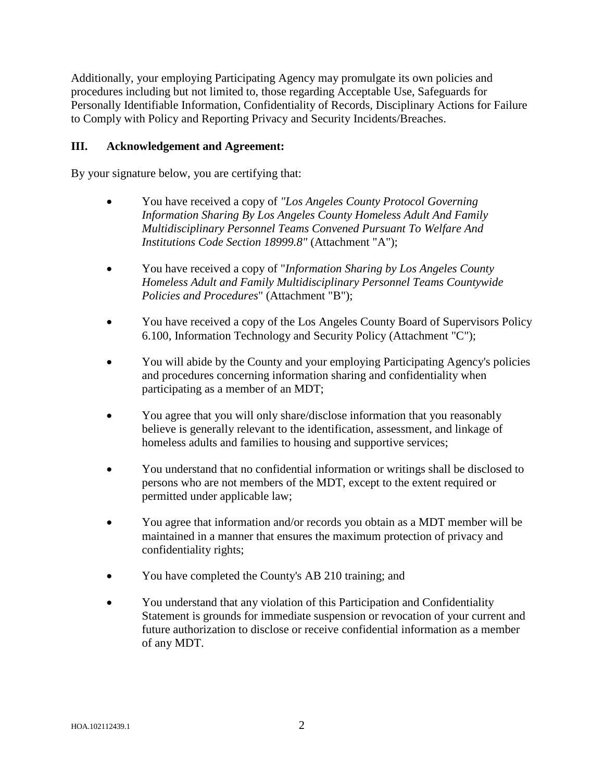Additionally, your employing Participating Agency may promulgate its own policies and procedures including but not limited to, those regarding Acceptable Use, Safeguards for Personally Identifiable Information, Confidentiality of Records, Disciplinary Actions for Failure to Comply with Policy and Reporting Privacy and Security Incidents/Breaches.

## **III. Acknowledgement and Agreement:**

By your signature below, you are certifying that:

- You have received a copy of *"Los Angeles County Protocol Governing Information Sharing By Los Angeles County Homeless Adult And Family Multidisciplinary Personnel Teams Convened Pursuant To Welfare And Institutions Code Section 18999.8"* (Attachment "A");
- You have received a copy of "*Information Sharing by Los Angeles County Homeless Adult and Family Multidisciplinary Personnel Teams Countywide Policies and Procedures*" (Attachment "B");
- You have received a copy of the Los Angeles County Board of Supervisors Policy 6.100, Information Technology and Security Policy (Attachment "C");
- You will abide by the County and your employing Participating Agency's policies and procedures concerning information sharing and confidentiality when participating as a member of an MDT;
- You agree that you will only share/disclose information that you reasonably believe is generally relevant to the identification, assessment, and linkage of homeless adults and families to housing and supportive services;
- You understand that no confidential information or writings shall be disclosed to persons who are not members of the MDT, except to the extent required or permitted under applicable law;
- You agree that information and/or records you obtain as a MDT member will be maintained in a manner that ensures the maximum protection of privacy and confidentiality rights;
- You have completed the County's AB 210 training; and
- You understand that any violation of this Participation and Confidentiality Statement is grounds for immediate suspension or revocation of your current and future authorization to disclose or receive confidential information as a member of any MDT.